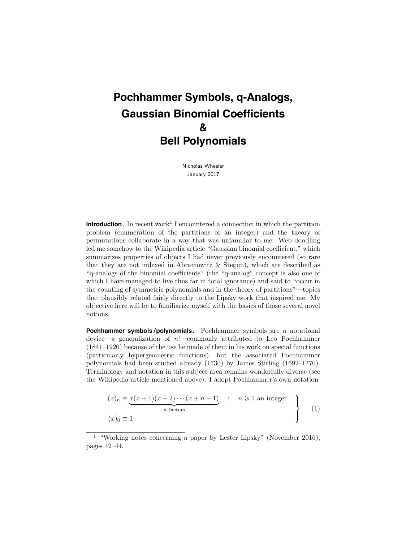# **Pochhammer Symbols, q-Analogs, Gaussian Binomial Coefficients & Bell Polynomials**

Nicholas Wheeler January 2017

**Introduction.** In recent work<sup>1</sup> I encountered a connection in which the partition problem (enumeration of the partitions of an integer) and the theory of permutations collaborate in a way that was unfamiliar to me. Web doodling led me somehow to the Wikipedia article "Gaussian binomial coefficient," which summarizes properties of objects I had never previously encountered (so rare that they are not indexed in Abramowitz & Stegun), which are described as "q-analogs of the binomial coefficients" (the "q-analog" concept is also one of which I have managed to live thus far in total ignorance) and said to "occur in the counting of symmetric polynomials and in the theory of partitions"—topics that plausibly related fairly directly to the Lipsky work that inspired me. My objective here will be to familiarize myself with the basics of those several novel notions.

**Pochhammer symbols /polynomials.** Pochhammer symbols are a notational device—a generalization of n!—commonly attributed to Leo Pochhammer (1841–1920) because of the use he made of them in his work on special functions (particularly hypergeometric functions), but the associated Pochhammer polynomials had been studied already (1730) by James Stirling (1692–1770). Terminology and notation in this subject area remains wonderfully diverse (see the Wikipedia article mentioned above). I adopt Pochhammer's own notation

$$
(x)_n \equiv \underbrace{x(x+1)(x+2)\cdots(x+n-1)}_{n \text{ factors}} \qquad n \geq 1 \text{ an integer}
$$
\n
$$
(x)_0 \equiv 1
$$
\n
$$
(1)
$$

<sup>1</sup> "Working notes concerning a paper by Lester Lipsky" (November 2016), pages 42–44.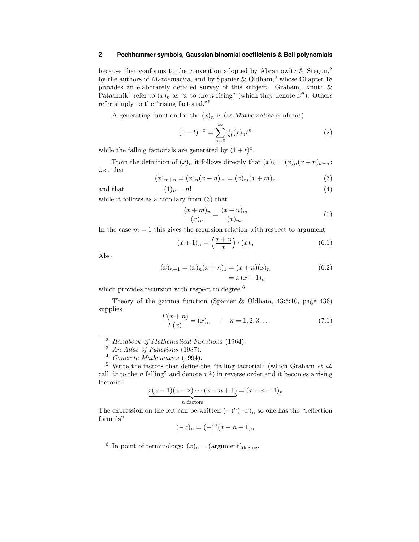because that conforms to the convention adopted by Abramowitz  $\&$  Stegun,<sup>2</sup> by the authors of Mathematica, and by Spanier & Oldham,<sup>3</sup> whose Chapter 18 provides an elaborately detailed survey of this subject. Graham, Knuth & Patashnik<sup>4</sup> refer to  $(x)_n$  as "x to the n rising" (which they denote  $x^{\bar{n}}$ ). Others refer simply to the "rising factorial."<sup>5</sup>

A generating function for the  $(x)_n$  is (as Mathematica confirms)

$$
(1-t)^{-x} = \sum_{n=0}^{\infty} \frac{1}{n!} (x)_n t^n
$$
 (2)

while the falling factorials are generated by  $(1 + t)^x$ .

From the definition of  $(x)_n$  it follows directly that  $(x)_k = (x)_n(x+n)_{k-n}$ ; i.e., that

$$
(x)_{m+n} = (x)_n(x+n)_m = (x)_m(x+m)_n
$$
\n(3)

and that  $(1)_n = n!$  (4)

while it follows as a corollary from 
$$
(3)
$$
 that

$$
\frac{(x+m)_n}{(x)_n} = \frac{(x+n)_m}{(x)_m} \tag{5}
$$

In the case  $m = 1$  this gives the recursion relation with respect to argument

$$
(x+1)_n = \left(\frac{x+n}{x}\right) \cdot (x)_n \tag{6.1}
$$

Also

$$
(x)_{n+1} = (x)_n(x+n)_1 = (x+n)(x)_n
$$
  
=  $x(x+1)_n$  (6.2)

which provides recursion with respect to degree. $6$ 

Theory of the gamma function (Spanier & Oldham, 43:5:10, page 436) supplies

$$
\frac{\Gamma(x+n)}{\Gamma(x)} = (x)_n \qquad : \qquad n = 1, 2, 3, \dots \tag{7.1}
$$

$$
\underbrace{x(x-1)(x-2)\cdots(x-n+1)}_{n \text{ factors}} = (x-n+1)_n
$$

The expression on the left can be written  $(-)^{n}(-x)_{n}$  so one has the "reflection" formula"

$$
(-x)_n = (-)^n (x - n + 1)_n
$$

<sup>6</sup> In point of terminology:  $(x)_n = ($ argument) $_{degree}$ .

<sup>2</sup> Handbook of Mathematical Functions (1964).

 $3$  An Atlas of Functions (1987).

<sup>4</sup> Concrete Mathematics (1994).

 $5$  Write the factors that define the "falling factorial" (which Graham *et al.*) call "x to the n falling" and denote  $x<sup>n</sup>$ ) in reverse order and it becomes a rising factorial: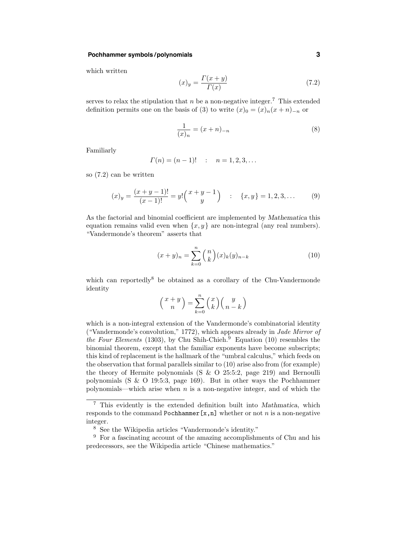# **Pochhammer symbols /polynomials 3**

which written

$$
(x)_y = \frac{\Gamma(x+y)}{\Gamma(x)}\tag{7.2}
$$

serves to relax the stipulation that  $n$  be a non-negative integer.<sup>7</sup> This extended definition permits one on the basis of (3) to write  $(x)_0 = (x)_n(x+n)_{-n}$  or

$$
\frac{1}{(x)_n} = (x+n)_{-n} \tag{8}
$$

Familiarly

$$
\Gamma(n) = (n-1)!
$$
 :  $n = 1, 2, 3, ...$ 

so (7.2) can be written

$$
(x)_y = \frac{(x+y-1)!}{(x-1)!} = y! \binom{x+y-1}{y} \quad : \quad \{x,y\} = 1,2,3,\dots \tag{9}
$$

As the factorial and binomial coefficient are implemented by Mathematica this equation remains valid even when  $\{x, y\}$  are non-integral (any real numbers). "Vandermonde's theorem" asserts that

$$
(x+y)_n = \sum_{k=0}^n {n \choose k} (x)_k (y)_{n-k}
$$
 (10)

which can reportedly<sup>8</sup> be obtained as a corollary of the Chu-Vandermonde identity

$$
\binom{x+y}{n} = \sum_{k=0}^{n} \binom{x}{k} \binom{y}{n-k}
$$

which is a non-integral extension of the Vandermonde's combinatorial identity ("Vandermonde's convolution," 1772), which appears already in Jade Mirror of the Four Elements (1303), by Chu Shih-Chieh.<sup>9</sup> Equation (10) resembles the binomial theorem, except that the familiar exponents have become subscripts; this kind of replacement is the hallmark of the "umbral calculus," which feeds on the observation that formal parallels similar to (10) arise also from (for example) the theory of Hermite polynomials (S & O 25:5:2, page 219) and Bernoulli polynomials (S & O 19:5:3, page 169). But in other ways the Pochhammer polynomials—which arise when  $n$  is a non-negative integer, and of which the

<sup>7</sup> This evidently is the extended definition built into Mathmatica, which responds to the command Pochhammer $[x,n]$  whether or not n is a non-negative integer.

<sup>&</sup>lt;sup>8</sup> See the Wikipedia articles "Vandermonde's identity."

<sup>&</sup>lt;sup>9</sup> For a fascinating account of the amazing accomplishments of Chu and his predecessors, see the Wikipedia article "Chinese mathematics."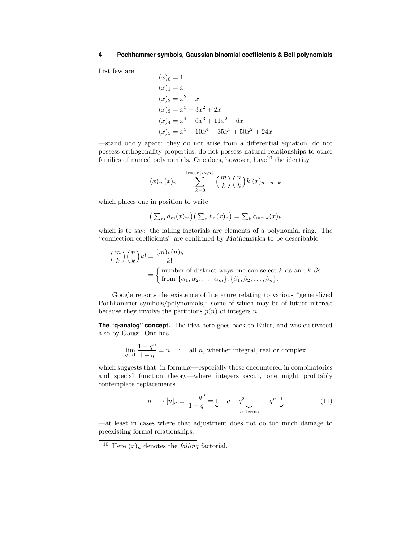first few are

$$
(x)0 = 1(x)1 = x(x)2 = x2 + x(x)3 = x3 + 3x2 + 2x(x)4 = x4 + 6x3 + 11x2 + 6x(x)5 = x5 + 10x4 + 35x3 + 50x2 + 24x
$$

—stand oddly apart: they do not arise from a differential equation, do not possess orthogonality properties, do not possess natural relationships to other families of named polynomials. One does, however, have  $10$  the identity

$$
(x)_m(x)_n = \sum_{k=0}^{\text{lesser}\{m,n\}} {m \choose k}{n \choose k}k!(x)_{m+n-k}
$$

which places one in position to write

$$
\left(\sum_{m} a_m(x)_m\right) \left(\sum_{n} b_n(x)_n\right) = \sum_{k} c_{mn,k}(x)_k
$$

which is to say: the falling factorials are elements of a polynomial ring. The "connection coefficients" are confirmed by Mathematica to be describable

$$
\binom{m}{k}\binom{n}{k}k! = \frac{(m)_k(n)_k}{k!}
$$
  
= { number of distinct ways one can select k as and k  $\beta$ s from  $\{\alpha_1, \alpha_2, ..., \alpha_m\}, \{\beta_1, \beta_2, ..., \beta_n\}.$ 

Google reports the existence of literature relating to various "generalized Pochhammer symbols/polynomials," some of which may be of future interest because they involve the partitions  $p(n)$  of integers n.

**The "q-analog" concept.** The idea here goes back to Euler, and was cultivated also by Gauss. One has

$$
\lim_{q \to 1} \frac{1 - q^n}{1 - q} = n
$$
: all *n*, whether integral, real or complex

which suggests that, in formulæ—especially those encountered in combinatorics and special function theory—where integers occur, one might profitably contemplate replacements

$$
n \longrightarrow [n]_q \equiv \frac{1 - q^n}{1 - q} = \underbrace{1 + q + q^2 + \dots + q^{n-1}}_{n \text{ terms}} \tag{11}
$$

—at least in cases where that adjustment does not do too much damage to preexisting formal relationships.

<sup>&</sup>lt;sup>10</sup> Here  $(x)_n$  denotes the *falling* factorial.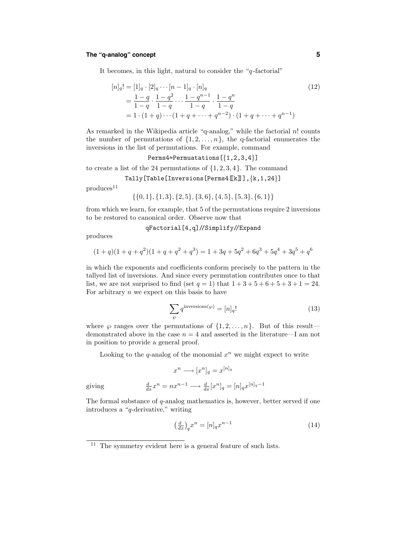# **The "q-analog" concept 5**

It becomes, in this light, natural to consider the " $q$ -factorial"

$$
[n]_q! = [1]_q \cdot [2]_q \cdots [n-1]_q \cdot [n]_q
$$
  
=  $\frac{1-q}{1-q} \cdot \frac{1-q^2}{1-q} \cdots \frac{1-q^{n-1}}{1-q} \cdot \frac{1-q^n}{1-q}$   
=  $1 \cdot (1+q) \cdots (1+q+\cdots+q^{n-2}) \cdot (1+q+\cdots+q^{n-1})$  (12)

As remarked in the Wikipedia article "q-analog," while the factorial  $n!$  counts the number of permutations of  $\{1, 2, \ldots, n\}$ , the q-factorial enumerates the inversions in the list of permutations. For example, command

Perms4=Permuatations[{1,2,3,4}]

to create a list of the 24 permutations of  $\{1, 2, 3, 4\}$ . The command

$$
\verb"Tally[Table[Inversions[Perms4[[k]]],[k,1,24\]]
$$

 $produces<sup>11</sup>$ 

 $\{\{0, 1\}, \{1, 3\}, \{2, 5\}, \{3, 6\}, \{4, 5\}, \{5, 3\}, \{6, 1\}\}\$ 

from which we learn, for example, that 5 of the permutations require 2 inversions to be restored to canonical order. Observe now that

#### qFactorial[4,q]//Simplify//Expand

produces

$$
(1+q)(1+q+q2)(1+q+q2+q3) = 1 + 3q + 5q2 + 6q3 + 5q4 + 3q5 + q6
$$

in which the exponents and coefficients conform precisely to the pattern in the tallyed list of inversions. And since every permutation contributes once to that list, we are not surprised to find (set  $q = 1$ ) that  $1 + 3 + 5 + 6 + 5 + 3 + 1 = 24$ . For arbitrary  $n$  we expect on this basis to have

$$
\sum_{\wp} q^{\text{inversions}(\wp)} = [n]_q! \tag{13}
$$

where  $\wp$  ranges over the permutations of  $\{1, 2, \ldots, n\}$ . But of this result demonstrated above in the case  $n = 4$  and asserted in the literature—I am not in position to provide a general proof.

Looking to the q-analog of the monomial  $x^n$  we might expect to write

$$
x^n \longrightarrow [x^n]_q = x^{[n]_q}
$$

 $\frac{d}{dx} x^n = n x^{n-1} \longrightarrow \frac{d}{dx} [x^n]_q = [n]_q x^{[n]_q-1}$ 

giving

The formal substance of q-analog mathematics is, however, better served if one introduces a "q-derivative," writing

$$
\left(\frac{d}{dx}\right)_q x^n = [n]_q x^{n-1} \tag{14}
$$

<sup>&</sup>lt;sup>11</sup> The symmetry evident here is a general feature of such lists.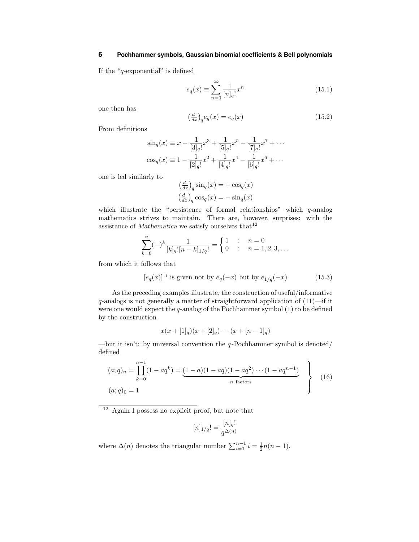If the "q-exponential" is defined

$$
e_q(x) \equiv \sum_{n=0}^{\infty} \frac{1}{[n]_q!} x^n
$$
\n(15.1)

one then has

$$
\left(\frac{d}{dx}\right)_q e_q(x) = e_q(x) \tag{15.2}
$$

From definitions

$$
\sin_q(x) \equiv x - \frac{1}{[3]_q!} x^3 + \frac{1}{[5]_q!} x^5 - \frac{1}{[7]_q!} x^7 + \cdots
$$
  

$$
\cos_q(x) \equiv 1 - \frac{1}{[2]_q!} x^2 + \frac{1}{[4]_q!} x^4 - \frac{1}{[6]_q!} x^6 + \cdots
$$

one is led similarly to

$$
\left(\frac{d}{dx}\right)_q \sin_q(x) = +\cos_q(x)
$$

$$
\left(\frac{d}{dx}\right)_q \cos_q(x) = -\sin_q(x)
$$

which illustrate the "persistence of formal relationships" which  $q$ -analog mathematics strives to maintain. There are, however, surprises: with the assistance of Mathematica we satisfy ourselves that  $^{12}$ 

$$
\sum_{k=0}^{n}(-)^{k} \frac{1}{[k]_{q}! [n-k]_{1/q}!} = \begin{cases} 1 & \text{if } n = 0 \\ 0 & \text{if } n = 1, 2, 3, \dots \end{cases}
$$

from which it follows that

$$
[e_q(x)]^{-1}
$$
 is given not by  $e_q(-x)$  but by  $e_{1/q}(-x)$  (15.3)

As the preceding examples illustrate, the construction of useful/informative  $q$ -analogs is not generally a matter of straightforward application of  $(11)$ —if it were one would expect the  $q$ -analog of the Pochhammer symbol  $(1)$  to be defined by the construction

$$
x(x + [1]_q)(x + [2]_q) \cdots (x + [n-1]_q)
$$

—but it isn't: by universal convention the  $q$ -Pochhammer symbol is denoted/ defined

$$
(a;q)_n = \prod_{k=0}^{n-1} (1 - aq^k) = \underbrace{(1 - a)(1 - aq)(1 - aq^2) \cdots (1 - aq^{n-1})}_{n \text{ factors}}
$$
\n
$$
(a;q)_0 = 1
$$
\n(16)

 $12$  Again I possess no explicit proof, but note that

$$
[n]_{1/q}! = \frac{[n]_q!}{q^{\Delta(n)}}
$$

where  $\Delta(n)$  denotes the triangular number  $\sum_{i=1}^{n-1} i = \frac{1}{2}n(n-1)$ .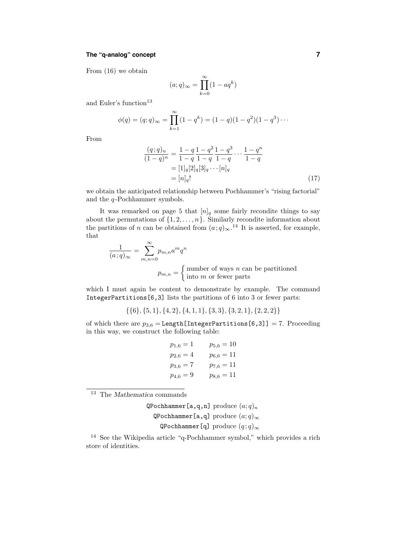# **The "q-analog" concept 7**

From (16) we obtain

$$
(a;q)_{\infty} = \prod_{k=0}^{\infty} (1 - aq^k)
$$

and Euler's function $13$ 

$$
\phi(q) = (q;q)_{\infty} = \prod_{k=1}^{\infty} (1 - q^k) = (1 - q)(1 - q^2)(1 - q^3) \cdots
$$

From

$$
\frac{(q;q)_n}{(1-q)^n} = \frac{1-q}{1-q} \frac{1-q^2}{1-q} \frac{1-q^3}{1-q} \cdots \frac{1-q^n}{1-q}
$$

$$
= [1]_q[2]_q[3]_q \cdots [n]_q
$$

$$
= [n]_q!\tag{17}
$$

we obtain the anticipated relationship between Pochhammer's "rising factorial" and the  $q$ -Pochhammer symbols.

It was remarked on page 5 that  $[n]_q$  some fairly recondite things to say about the permutations of  $\{1, 2, \ldots, n\}$ . Similarly recondite information about the partitions of n can be obtained from  $(a;q)_{\infty}$ .<sup>14</sup> It is asserted, for example, that

$$
\frac{1}{(a;q)_{\infty}} = \sum_{m,n=0}^{\infty} p_{m,n} a^m q^n
$$

$$
p_{m,n} = \begin{cases} \text{number of ways } n \text{ can be partitioned} \\ \text{into } m \text{ or fewer parts} \end{cases}
$$

which I must again be content to demonstrate by example. The command IntegerPartitions[6,3] lists the partitions of 6 into 3 or fewer parts:

 $\{\{6\}, \{5, 1\}, \{4, 2\}, \{4, 1, 1\}, \{3, 3\}, \{3, 2, 1\}, \{2, 2, 2\}\}\$ 

of which there are  $p_{3,6} =$ Length[IntegerPartitions[6,3]] = 7. Proceeding in this way, we construct the following table:

$$
p_{1,6} = 1 \t p_{5,6} = 10
$$
  
\n
$$
p_{2,6} = 4 \t p_{6,6} = 11
$$
  
\n
$$
p_{3,6} = 7 \t p_{7,6} = 11
$$
  
\n
$$
p_{4,6} = 9 \t p_{8,6} = 11
$$

<sup>13</sup> The Mathematica commands

QPochhammer[a,q,n] produce  $(a;q)_n$ QPochhammer[a,q] produce  $(a;q)_{\infty}$ QPochhammer[q] produce  $(q; q)_{\infty}$ 

<sup>14</sup> See the Wikipedia article "q-Pochhammer symbol," which provides a rich store of identities.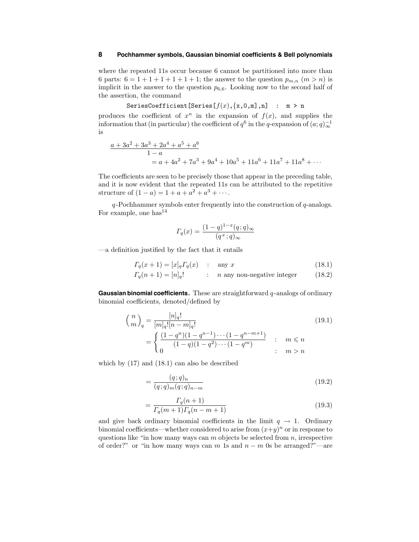where the repeated 11s occur because 6 cannot be partitioned into more than 6 parts:  $6 = 1 + 1 + 1 + 1 + 1 + 1$ ; the answer to the question  $p_{m,n}$   $(m > n)$  is implicit in the answer to the question  $p_{6,6}$ . Looking now to the second half of the assertion, the command

$$
\texttt{SeriesCoefficient}[Series[f(x), \{x, 0, m], n] : m > n
$$

produces the coefficient of  $x^n$  in the expansion of  $f(x)$ , and supplies the information that (in particular) the coefficient of  $q^6$  in the q-expansion of  $(a;q)^{-1}$ <sub>∞</sub> is

$$
\frac{a+3a^2+3a^3+2a^4+a^5+a^6}{1-a}
$$
  
= a+4a<sup>2</sup>+7a<sup>3</sup>+9a<sup>4</sup>+10a<sup>5</sup>+11a<sup>6</sup>+11a<sup>7</sup>+11a<sup>8</sup> + ...

The coefficients are seen to be precisely those that appear in the preceding table, and it is now evident that the repeated 11s can be attributed to the repetitive structure of  $(1 - a) = 1 + a + a^2 + a^3 + \cdots$ .

 $q$ -Pochhammer symbols enter frequently into the construction of  $q$ -analogs. For example, one has  $14$ 

$$
\Gamma_q(x) = \frac{(1-q)^{1-x}(q;q)_{\infty}}{(q^x;q)_{\infty}}
$$

—a definition justified by the fact that it entails

$$
\Gamma_q(x+1) = [x]_q \Gamma_q(x) \qquad \text{any } x \tag{18.1}
$$

$$
\Gamma_q(n+1) = [n]_q! \qquad : \quad n \text{ any non-negative integer} \tag{18.2}
$$

**Gaussian binomial coefficients.** These are straightforward q-analogs of ordinary binomial coefficients, denoted/defined by

$$
{n \choose m}_q = \frac{[n]_q!}{[m]_q! [n-m]_q!} \tag{19.1}
$$

$$
= \begin{cases} \frac{(1-q^n)(1-q^{n-1})\cdots(1-q^{n-m+1})}{(1-q)(1-q^2)\cdots(1-q^m)} & \text{if } m \le n\\ 0 & \text{if } m > n \end{cases}
$$

which by (17) and (18.1) can also be described

$$
=\frac{(q;q)_n}{(q;q)_m(q;q)_{n-m}}
$$
(19.2)

$$
=\frac{\Gamma_q(n+1)}{\Gamma_q(m+1)\Gamma_q(n-m+1)}
$$
(19.3)

and give back ordinary binomial coefficients in the limit  $q \to 1$ . Ordinary binomial coefficients—whether considered to arise from  $(x+y)^n$  or in response to questions like "in how many ways can  $m$  objects be selected from  $n$ , irrespective of order?" or "in how many ways can m 1s and  $n - m$  0s be arranged?"—are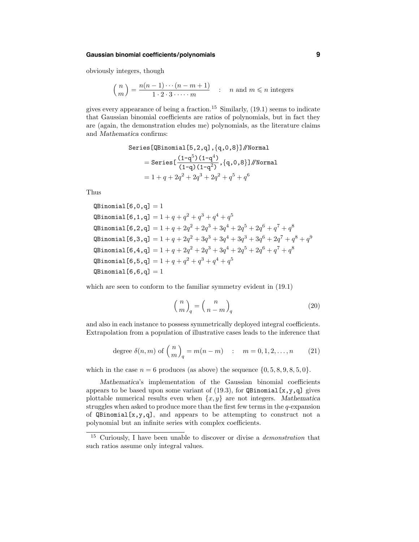# **Gaussian binomial coefficients/polynomials 9**

obviously integers, though

$$
\binom{n}{m} = \frac{n(n-1)\cdots(n-m+1)}{1\cdot 2\cdot 3\cdot \cdots \cdot m} \quad \text{: } n \text{ and } m \leq n \text{ integers}
$$

gives every appearance of being a fraction.<sup>15</sup> Similarly,  $(19.1)$  seems to indicate that Gaussian binomial coefficients are ratios of polynomials, but in fact they are (again, the demonstration eludes me) polynomials, as the literature claims and Mathematica confirms:

Series [QBinomial [5,2,q], {q,0,8}] // Normal  
\n= Series [
$$
\frac{(1-q^5)(1-q^4)}{(1-q)(1-q^2)}
$$
, {q,0,8}] // Normal  
\n= 1 + q + 2q<sup>2</sup> + 2q<sup>3</sup> + 2q<sup>2</sup> + q<sup>5</sup> + q<sup>6</sup>

Thus

$$
\begin{array}{l} \texttt{QBinomial}[6,0,q] = 1 \\ \texttt{QBinomial}[6,1,q] = 1 + q + q^2 + q^3 + q^4 + q^5 \\ \texttt{QBinomial}[6,2,q] = 1 + q + 2q^2 + 2q^3 + 3q^4 + 2q^5 + 2q^6 + q^7 + q^8 \\ \texttt{QBinomial}[6,3,q] = 1 + q + 2q^2 + 3q^3 + 3q^4 + 3q^3 + 3q^6 + 2q^7 + q^8 + q^9 \\ \texttt{QBinomial}[6,4,q] = 1 + q + 2q^2 + 2q^3 + 3q^4 + 2q^5 + 2q^6 + q^7 + q^8 \\ \texttt{QBinomial}[6,5,q] = 1 + q + q^2 + q^3 + q^4 + q^5 \\ \texttt{QBinomial}[6,6,q] = 1 \end{array}
$$

which are seen to conform to the familiar symmetry evident in  $(19.1)$ 

$$
\left(\begin{array}{c} n \\ m \end{array}\right)_q = \left(\begin{array}{c} n \\ n - m \end{array}\right)_q \tag{20}
$$

and also in each instance to possess symmetrically deployed integral coefficients. Extrapolation from a population of illustrative cases leads to the inference that

degree 
$$
\delta(n, m)
$$
 of  $\binom{n}{m}_q = m(n - m)$  :  $m = 0, 1, 2, ..., n$  (21)

which in the case  $n = 6$  produces (as above) the sequence  $\{0, 5, 8, 9, 8, 5, 0\}.$ 

Mathematica's implementation of the Gaussian binomial coefficients appears to be based upon some variant of  $(19.3)$ , for QBinomial[x,y,q] gives plottable numerical results even when  $\{x, y\}$  are not integers. Mathematica struggles when asked to produce more than the first few terms in the  $q$ -expansion of  $\mathbb{Q}$ Binomial[x,y,q], and appears to be attempting to construct not a polynomial but an infinite series with complex coefficients.

<sup>&</sup>lt;sup>15</sup> Curiously, I have been unable to discover or divise a *demonstration* that such ratios assume only integral values.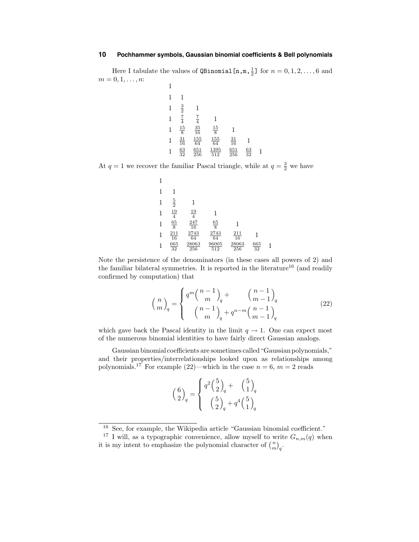Here I tabulate the values of  $\mathsf{QBinomial}\left[n, m, \frac{1}{2}\right]$  for  $n = 0, 1, 2, \ldots, 6$  and  $m = 0, 1, \ldots, n$ : 1

| -            |                                                                            |                                                      |                                                                     |                   |                 |  |
|--------------|----------------------------------------------------------------------------|------------------------------------------------------|---------------------------------------------------------------------|-------------------|-----------------|--|
| 1            |                                                                            |                                                      |                                                                     |                   |                 |  |
| $\mathbf{1}$ |                                                                            |                                                      |                                                                     |                   |                 |  |
| $\mathbf{1}$ | $\frac{3}{2}$ $\frac{7}{4}$ $\frac{15}{8}$ $\frac{31}{16}$ $\frac{63}{32}$ |                                                      |                                                                     |                   |                 |  |
| $\mathbf{1}$ |                                                                            | $\frac{7}{4}$<br>$\frac{35}{16}$<br>$\frac{155}{64}$ |                                                                     | 1                 |                 |  |
| 1            |                                                                            |                                                      | $\begin{array}{r}\underline{15}\\8\\\underline{155}\\64\end{array}$ | $\frac{31}{16}$   |                 |  |
|              |                                                                            | $\frac{651}{256}$                                    | $\frac{1395}{512}$                                                  | $\frac{651}{256}$ | $\frac{63}{32}$ |  |

At  $q = 1$  we recover the familiar Pascal triangle, while at  $q = \frac{3}{2}$  we have

1 1 1 1 <sup>5</sup> <sup>2</sup> 1 1 <sup>19</sup> 4 19 <sup>4</sup> 1 1 <sup>65</sup> 8 247 16 65 <sup>8</sup> 1 1 <sup>211</sup> 16 2743 64 2743 64 211 <sup>16</sup> 1 1 <sup>665</sup> 32 28063 256 96005 512 28063 256 665 <sup>32</sup> 1

Note the persistence of the denominators (in these cases all powers of 2) and the familiar bilateral symmetries. It is reported in the literature<sup>16</sup> (and readily confirmed by computation) that

$$
\binom{n}{m}_q = \begin{cases} q^m \binom{n-1}{m}_q + \binom{n-1}{m-1}_q & (22) \\ \binom{n-1}{m}_q + q^{n-m} \binom{n-1}{m-1}_q & (22) \end{cases}
$$

which gave back the Pascal identity in the limit  $q \to 1$ . One can expect most of the numerous binomial identities to have fairly direct Gaussian analogs.

Gaussian binomial coefficients are sometimes called"Gaussianpolynomials," and their properties/interrelationships looked upon as relationships among polynomials.<sup>17</sup> For example (22)—which in the case  $n = 6$ ,  $m = 2$  reads

| $\binom{6}{2}_q$ | $\int q^2 \left(\frac{5}{2}\right)_q$ +                          | $\binom{5}{1}_q$ |
|------------------|------------------------------------------------------------------|------------------|
|                  | $\left(\frac{5}{2}\right)_{q}+q^{4}\left(\frac{5}{1}\right)_{q}$ |                  |

 $^{16}$  See, for example, the Wikipedia article "Gaussian binomial coefficient."

<sup>&</sup>lt;sup>17</sup> I will, as a typographic convenience, allow myself to write  $G_{n,m}(q)$  when it is my intent to emphasize the polynomial character of  $\binom{n}{m}_q$ .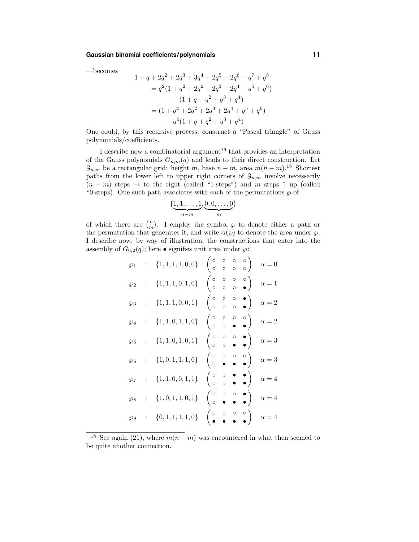## **Gaussian binomial coefficients/polynomials 11**

—becomes

$$
1 + q + 2q^{2} + 2q^{3} + 3q^{4} + 2q^{5} + 2q^{6} + q^{7} + q^{8}
$$
  
=  $q^{2}(1 + q^{2} + 2q^{2} + 2q^{3} + 2q^{4} + q^{5} + q^{6})$   
+  $(1 + q + q^{2} + q^{3} + q^{4})$   
=  $(1 + q^{2} + 2q^{2} + 2q^{3} + 2q^{4} + q^{5} + q^{6})$   
+  $q^{4}(1 + q + q^{2} + q^{3} + q^{4})$ 

One could, by this recursive process, construct a "Pascal triangle" of Gauss polynomials/coefficients.

I describe now a combinatorial argument<sup>16</sup> that provides an interpretation of the Gauss polynomials  $G_{n,m}(q)$  and leads to their direct construction. Let  $G_{n,m}$  be a rectangular grid: height m, base  $n - m$ , area  $m(n - m)$ .<sup>18</sup> Shortest paths from the lower left to upper right corners of  $\mathcal{G}_{n,m}$  involve necessarily  $(n - m)$  steps  $\rightarrow$  to the right (called "1-steps") and m steps  $\uparrow$  up (called "0-steps). One such path associates with each of the permutations  $\wp$  of

$$
\{\underbrace{1,1,\ldots,1}_{n-m},\underbrace{0,0,\ldots,0}_{m}\}
$$

of which there are  $\binom{n}{m}$ . I employ the symbol  $\wp$  to denote either a path or the permutation that generates it, and write  $\alpha(\varphi)$  to denote the area under  $\varphi$ . I describe now, by way of illustration, the constructions that enter into the assembly of  $G_{6,2}(q)$ ; here • signifies unit area under  $\wp$ :

$$
\wp_1 : \{1, 1, 1, 0, 0\} \begin{pmatrix} \circ & \circ & \circ & \circ \\ \circ & \circ & \circ & \circ \\ \circ & \circ & \circ & \circ \end{pmatrix} \alpha = 0
$$
  
\n
$$
\wp_2 : \{1, 1, 1, 0, 1, 0\} \begin{pmatrix} \circ & \circ & \circ & \circ \\ \circ & \circ & \circ & \circ \\ \circ & \circ & \circ & \circ \end{pmatrix} \alpha = 1
$$
  
\n
$$
\wp_3 : \{1, 1, 1, 0, 0, 1\} \begin{pmatrix} \circ & \circ & \circ & \circ \\ \circ & \circ & \circ & \circ \\ \circ & \circ & \circ & \circ \end{pmatrix} \alpha = 2
$$
  
\n
$$
\wp_5 : \{1, 1, 0, 1, 0, 1\} \begin{pmatrix} \circ & \circ & \circ & \circ \\ \circ & \circ & \circ & \circ \\ \circ & \circ & \circ & \circ \end{pmatrix} \alpha = 3
$$
  
\n
$$
\wp_6 : \{1, 0, 1, 1, 1, 0\} \begin{pmatrix} \circ & \circ & \circ & \circ \\ \circ & \circ & \circ & \circ \\ \circ & \circ & \circ & \circ \end{pmatrix} \alpha = 4
$$
  
\n
$$
\wp_8 : \{1, 0, 1, 1, 0, 1\} \begin{pmatrix} \circ & \circ & \circ & \circ \\ \circ & \circ & \circ & \circ \\ \circ & \circ & \circ & \circ \end{pmatrix} \alpha = 4
$$
  
\n
$$
\wp_9 : \{0, 1, 1, 1, 1, 0\} \begin{pmatrix} \circ & \circ & \circ & \circ \\ \circ & \circ & \circ & \circ \\ \circ & \circ & \circ & \circ \end{pmatrix} \alpha = 4
$$

<sup>&</sup>lt;sup>18</sup> See again (21), where  $m(n-m)$  was encountered in what then seemed to be quite another connection.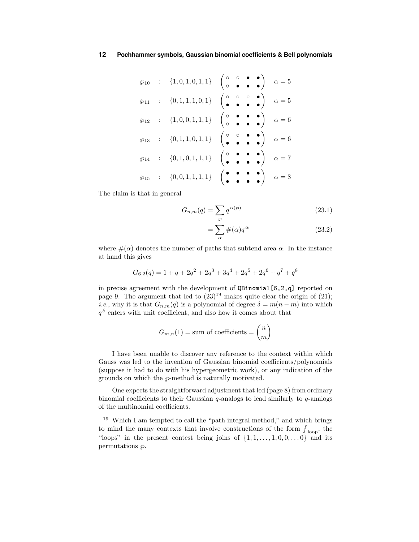$$
\wp_{10} : \{1, 0, 1, 0, 1, 1\} \begin{pmatrix} \circ & \circ & \bullet & \bullet \\ \circ & \bullet & \bullet & \bullet \end{pmatrix} \alpha = 5
$$
  
\n
$$
\wp_{11} : \{0, 1, 1, 1, 0, 1\} \begin{pmatrix} \circ & \circ & \bullet & \bullet \\ \bullet & \bullet & \bullet & \bullet \end{pmatrix} \alpha = 5
$$
  
\n
$$
\wp_{12} : \{1, 0, 0, 1, 1, 1\} \begin{pmatrix} \circ & \bullet & \bullet & \bullet \\ \circ & \bullet & \bullet & \bullet \end{pmatrix} \alpha = 6
$$
  
\n
$$
\wp_{13} : \{0, 1, 1, 0, 1, 1\} \begin{pmatrix} \circ & \circ & \bullet & \bullet \\ \bullet & \bullet & \bullet & \bullet \end{pmatrix} \alpha = 6
$$
  
\n
$$
\wp_{14} : \{0, 1, 0, 1, 1, 1\} \begin{pmatrix} \circ & \bullet & \bullet & \bullet \\ \bullet & \bullet & \bullet & \bullet \end{pmatrix} \alpha = 7
$$
  
\n
$$
\wp_{15} : \{0, 0, 1, 1, 1, 1\} \begin{pmatrix} \bullet & \bullet & \bullet & \bullet \\ \bullet & \bullet & \bullet & \bullet \end{pmatrix} \alpha = 8
$$

The claim is that in general

$$
G_{n,m}(q) = \sum_{\wp} q^{\alpha(\wp)} \tag{23.1}
$$

$$
=\sum_{\alpha} \#(\alpha) q^{\alpha} \tag{23.2}
$$

where  $\#(\alpha)$  denotes the number of paths that subtend area  $\alpha$ . In the instance at hand this gives

$$
G_{6,2}(q) = 1 + q + 2q^2 + 2q^3 + 3q^4 + 2q^5 + 2q^6 + q^7 + q^8
$$

in precise agreement with the development of QBinomial[6,2,q] reported on page 9. The argument that led to  $(23)^{19}$  makes quite clear the origin of (21); *i.e.*, why it is that  $G_{n,m}(q)$  is a polynomial of degree  $\delta = m(n-m)$  into which  $q<sup>δ</sup>$  enters with unit coefficient, and also how it comes about that

$$
G_{m,n}(1) = \text{sum of coefficients} = \binom{n}{m}
$$

I have been unable to discover any reference to the context within which Gauss was led to the invention of Gaussian binomial coefficients/polynomials (suppose it had to do with his hypergeometric work), or any indication of the grounds on which the  $\wp$ -method is naturally motivated.

One expects the straightforward adjustment that led (page 8) from ordinary binomial coefficients to their Gaussian  $q$ -analogs to lead similarly to  $q$ -analogs of the multinomial coefficients.

<sup>19</sup> Which I am tempted to call the "path integral method," and which brings to mind the many contexts that involve constructions of the form  $\oint_{\text{loop}}$ , the "loops" in the present contest being joins of  $\{1, 1, \ldots, 1, 0, 0, \ldots 0\}$  and its permutations  $\varphi$ .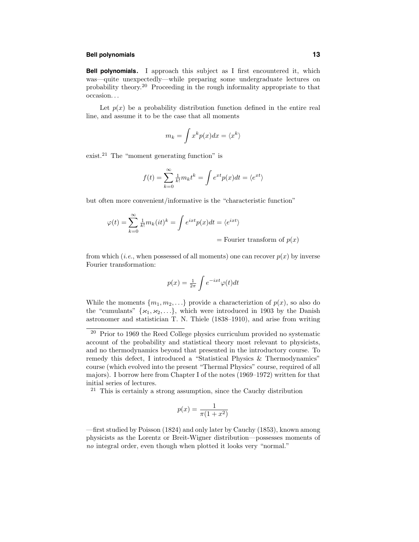#### **Bell polynomials 13**

**Bell polynomials.** I approach this subject as I first encountered it, which was—quite unexpectedly—while preparing some undergraduate lectures on probability theory. <sup>20</sup> Proceeding in the rough informality appropriate to that occasion. . .

Let  $p(x)$  be a probability distribution function defined in the entire real line, and assume it to be the case that all moments

$$
m_k = \int x^k p(x) dx = \langle x^k \rangle
$$

exist.<sup>21</sup> The "moment generating function" is

$$
f(t) = \sum_{k=0}^{\infty} \frac{1}{k!} m_k t^k = \int e^{xt} p(x) dt = \langle e^{xt} \rangle
$$

but often more convenient/informative is the "characteristic function"

$$
\varphi(t) = \sum_{k=0}^{\infty} \frac{1}{k!} m_k(it)^k = \int e^{ixt} p(x) dt = \langle e^{ixt} \rangle
$$
  
= Fourier transform of  $p(x)$ 

from which (*i.e.*, when possessed of all moments) one can recover  $p(x)$  by inverse Fourier transformation:

$$
p(x) = \frac{1}{2\pi} \int e^{-ixt} \varphi(t) dt
$$

While the moments  $\{m_1, m_2, \ldots\}$  provide a characterizion of  $p(x)$ , so also do the "cumulants"  $\{x_1, x_2, \ldots\}$ , which were introduced in 1903 by the Danish astronomer and statistician T. N. Thiele (1838–1910), and arise from writing

 $21$  This is certainly a strong assumption, since the Cauchy distribution

$$
p(x) = \frac{1}{\pi(1+x^2)}
$$

—first studied by Poisson (1824) and only later by Cauchy (1853), known among physicists as the Lorentz or Breit-Wigner distribution—possesses moments of no integral order, even though when plotted it looks very "normal."

<sup>20</sup> Prior to 1969 the Reed College physics curriculum provided no systematic account of the probability and statistical theory most relevant to physicists, and no thermodynamics beyond that presented in the introductory course. To remedy this defect, I introduced a "Statistical Physics & Thermodynamics" course (which evolved into the present "Thermal Physics" course, required of all majors). I borrow here from Chapter I of the notes (1969–1972) written for that initial series of lectures.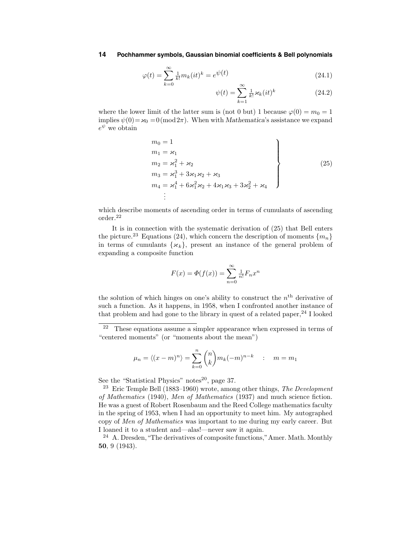$$
\varphi(t) = \sum_{k=0}^{\infty} \frac{1}{k!} m_k(it)^k = e^{\psi(t)} \qquad \qquad (24.1)
$$

$$
\psi(t) = \sum_{k=1}^{\infty} \frac{1}{k!} \varkappa_k(it)^k \tag{24.2}
$$

where the lower limit of the latter sum is (not 0 but) 1 because  $\varphi(0) = m_0 = 1$ implies  $\psi(0) = \varkappa_0 = 0 \pmod{2\pi}$ . When with *Mathematica*'s assistance we expand  $e^{\psi}$  we obtain

$$
m_0 = 1
$$
  
\n
$$
m_1 = \varkappa_1
$$
  
\n
$$
m_2 = \varkappa_1^2 + \varkappa_2
$$
  
\n
$$
m_3 = \varkappa_1^3 + 3\varkappa_1\varkappa_2 + \varkappa_3
$$
  
\n
$$
m_4 = \varkappa_1^4 + 6\varkappa_1^2\varkappa_2 + 4\varkappa_1\varkappa_3 + 3\varkappa_2^2 + \varkappa_4
$$
\n
$$
\vdots
$$
\n(25)

which describe moments of ascending order in terms of cumulants of ascending order. $^{22}$ 

It is in connection with the systematic derivation of (25) that Bell enters the picture.<sup>23</sup> Equations (24), which concern the description of moments  ${m_n}$ in terms of cumulants  $\{\varkappa_k\}$ , present an instance of the general problem of expanding a composite function

$$
F(x) = \Phi(f(x)) = \sum_{n=0}^{\infty} \frac{1}{n!} F_n x^n
$$

the solution of which hinges on one's ability to construct the  $n<sup>th</sup>$  derivative of such a function. As it happens, in 1958, when I confronted another instance of that problem and had gone to the library in quest of a related paper,  $^{24}$  I looked

$$
\mu_n = \langle (x-m)^n \rangle = \sum_{k=0}^n \binom{n}{k} m_k (-m)^{n-k} \quad : \quad m = m_1
$$

See the "Statistical Physics" notes $^{20}$ , page 37.

 $22$  These equations assume a simpler appearance when expressed in terms of "centered moments" (or "moments about the mean")

<sup>&</sup>lt;sup>23</sup> Eric Temple Bell (1883–1960) wrote, among other things, *The Development* of Mathematics (1940), Men of Mathematics (1937) and much science fiction. He was a guest of Robert Rosenbaum and the Reed College mathematics faculty in the spring of 1953, when I had an opportunity to meet him. My autographed copy of Men of Mathematics was important to me during my early career. But I loaned it to a student and—alas!—never saw it again.

<sup>&</sup>lt;sup>24</sup> A. Dresden, "The derivatives of composite functions," Amer. Math. Monthly 50, 9 (1943).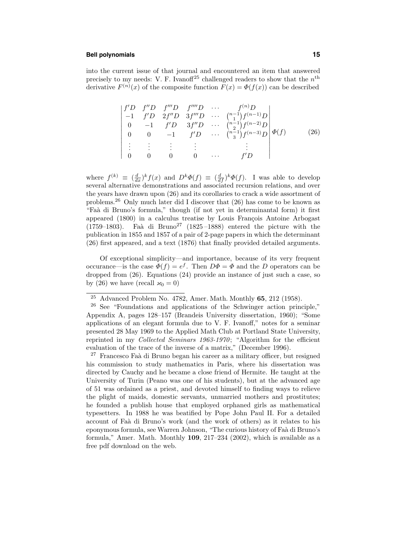#### **Bell polynomials 15**

into the current issue of that journal and encountered an item that answered precisely to my needs: V. F. Ivanoff<sup>25</sup> challenged readers to show that the  $n<sup>th</sup>$ derivative  $F^{(n)}(x)$  of the composite function  $F(x) = \Phi(f(x))$  can be described

$$
\begin{vmatrix} f'D & f''D & f'''D & f'''D & \cdots & f^{(n)}D \\ -1 & f'D & 2f''D & 3f'''D & \cdots & {n-1 \choose 1}f^{(n-1)}D \\ 0 & -1 & f'D & 3f''D & \cdots & {n-1 \choose 2}f^{(n-2)}D \\ 0 & 0 & -1 & f'D & \cdots & {n-1 \choose 3}f^{(n-3)}D \\ \vdots & \vdots & \vdots & \vdots & \vdots & \vdots \\ 0 & 0 & 0 & \cdots & f'D \end{vmatrix} \Phi(f) \qquad (26)
$$

where  $f^{(k)} \equiv \left(\frac{d}{dx}\right)^k f(x)$  and  $D^k \Phi(f) \equiv \left(\frac{d}{df}\right)^k \Phi(f)$ . I was able to develop several alternative demonstrations and associated recursion relations, and over the years have drawn upon (26) and its corollaries to crack a wide assortment of problems.<sup>26</sup> Only much later did I discover that (26) has come to be known as "Faà di Bruno's formula," though (if not yet in determinantal form) it first appeared  $(1800)$  in a calculus treatise by Louis François Antoine Arbogast (1759–1803). Faà di Bruno<sup>27</sup> (1825–1888) entered the picture with the publication in 1855 and 1857 of a pair of 2-page papers in which the determinant (26) first appeared, and a text (1876) that finally provided detailed arguments.

Of exceptional simplicity—and importance, because of its very frequent occurance—is the case  $\Phi(f) = e^f$ . Then  $D\Phi = \Phi$  and the D operators can be dropped from (26). Equations (24) provide an instance of just such a case, so by (26) we have (recall  $\varkappa_0 = 0$ )

<sup>25</sup> Advanced Problem No. 4782, Amer. Math. Monthly 65, 212 (1958).

<sup>26</sup> See "Foundations and applications of the Schwinger action principle," Appendix A, pages 128–157 (Brandeis University dissertation, 1960); "Some applications of an elegant formula due to V. F. Ivanoff," notes for a seminar presented 28 May 1969 to the Applied Math Club at Portland State University, reprinted in my Collected Seminars 1963-1970; "Algorithm for the efficient evaluation of the trace of the inverse of a matrix," (December 1996).

<sup>&</sup>lt;sup>27</sup> Francesco Faà di Bruno began his career as a military officer, but resigned his commission to study mathematics in Paris, where his dissertation was directed by Cauchy and he became a close friend of Hermite. He taught at the University of Turin (Peano was one of his students), but at the advanced age of 51 was ordained as a priest, and devoted himself to finding ways to relieve the plight of maids, domestic servants, unmarried mothers and prostitutes; he founded a publish house that employed orphaned girls as mathematical typesetters. In 1988 he was beatified by Pope John Paul II. For a detailed account of Faà di Bruno's work (and the work of others) as it relates to his eponymous formula, see Warren Johnson, "The curious history of Faa` di Bruno's formula," Amer. Math. Monthly 109, 217–234 (2002), which is available as a free pdf download on the web.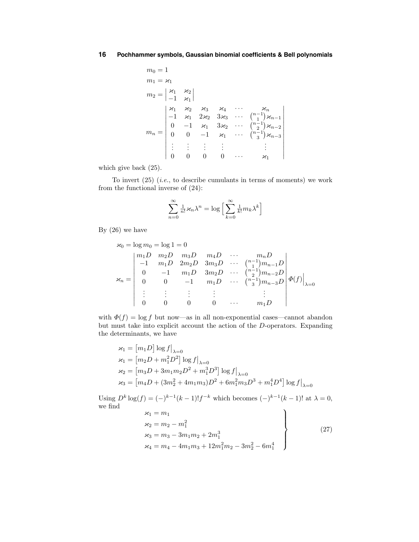$$
m_0 = 1
$$
  
\n
$$
m_1 = \varkappa_1
$$
  
\n
$$
m_2 = \begin{vmatrix} \varkappa_1 & \varkappa_2 \\ -1 & \varkappa_1 \end{vmatrix}
$$
  
\n
$$
m_n = \begin{vmatrix} \varkappa_1 & \varkappa_2 & \varkappa_3 & \varkappa_4 & \cdots & \varkappa_n \\ -1 & \varkappa_1 & 2\varkappa_2 & 3\varkappa_3 & \cdots & {n-1 \choose 1} \varkappa_{n-1} \\ 0 & -1 & \varkappa_1 & 3\varkappa_2 & \cdots & {n-1 \choose 2} \varkappa_{n-2} \\ 0 & 0 & -1 & \varkappa_1 & \cdots & {n-1 \choose 3} \varkappa_{n-3} \\ \vdots & \vdots & \vdots & \vdots & & \vdots \\ 0 & 0 & 0 & 0 & \cdots & \varkappa_1 \end{vmatrix}
$$

which give back (25).

To invert  $(25)$  (*i.e.*, to describe cumulants in terms of moments) we work from the functional inverse of (24):

$$
\sum_{n=0}^{\infty} \frac{1}{n!} \varkappa_n \lambda^n = \log \left[ \sum_{k=0}^{\infty} \frac{1}{k!} m_k \lambda^k \right]
$$

By (26) we have

$$
\varkappa_0 = \log m_0 = \log 1 = 0
$$
\n
$$
\varkappa_0 = \begin{vmatrix}\nm_1 D & m_2 D & m_3 D & m_4 D & \cdots & m_n D \\
-1 & m_1 D & 2m_2 D & 3m_3 D & \cdots & \binom{n-1}{2} m_{n-1} D \\
0 & -1 & m_1 D & 3m_2 D & \cdots & \binom{n-1}{2} m_{n-2} D \\
0 & 0 & -1 & m_1 D & \cdots & \binom{n-1}{3} m_{n-3} D \\
\vdots & \vdots & \vdots & \vdots & \vdots & \vdots \\
0 & 0 & 0 & 0 & \cdots & m_1 D\n\end{vmatrix} \boldsymbol{\Phi}(f)\Big|_{\lambda=0}
$$

with  $\Phi(f) = \log f$  but now—as in all non-exponential cases—cannot abandon but must take into explicit account the action of the D-operators. Expanding the determinants, we have

$$
\begin{aligned} \varkappa_1 &= \left[ m_1 D \right] \log f \big|_{\lambda=0} \\ \varkappa_1 &= \left[ m_2 D + m_1^2 D^2 \right] \log f \big|_{\lambda=0} \\ \varkappa_2 &= \left[ m_3 D + 3 m_1 m_2 D^2 + m_1^3 D^3 \right] \log f \big|_{\lambda=0} \\ \varkappa_3 &= \left[ m_4 D + (3 m_2^2 + 4 m_1 m_3) D^2 + 6 m_1^2 m_3 D^3 + m_1^4 D^4 \right] \log f \big|_{\lambda=0} \end{aligned}
$$

Using  $D^k \log(f) = (-)^{k-1}(k-1)!f^{-k}$  which becomes  $(-)^{k-1}(k-1)!$  at  $\lambda = 0$ , we find we find

$$
\begin{aligned}\n\varkappa_1 &= m_1 \\
\varkappa_2 &= m_2 - m_1^2 \\
\varkappa_3 &= m_3 - 3m_1m_2 + 2m_1^3 \\
\varkappa_4 &= m_4 - 4m_1m_3 + 12m_1^2m_2 - 3m_2^2 - 6m_1^4\n\end{aligned}
$$
\n(27)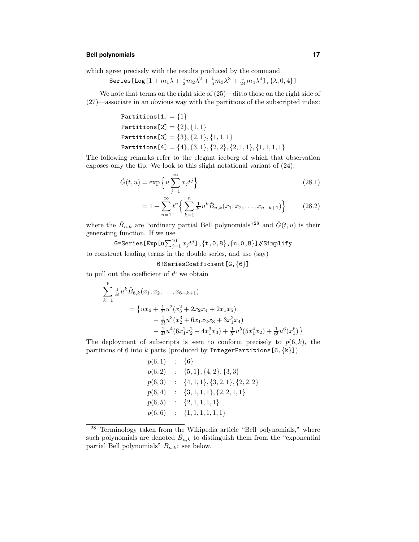# **Bell polynomials 17**

which agree precisely with the results produced by the command

Series 
$$
[\text{Log}[1 + m_1\lambda + \frac{1}{2}m_2\lambda^2 + \frac{1}{6}m_3\lambda^3 + \frac{1}{24}m_4\lambda^4], {\lambda, 0, 4}]
$$

We note that terms on the right side of (25)—ditto those on the right side of (27)—associate in an obvious way with the partitions of the subscripted index:

Partitions[1] = {1} Partitions[2] = {2}, {1, 1} Partitions[3] = {3}, {2, 1}, {1, 1, 1} Partitions[4] = {4}, {3, 1}, {2, 2}, {2, 1, 1}, {1, 1, 1, 1}

The following remarks refer to the elegant iceberg of which that observation exposes only the tip. We look to this slight notational variant of (24):

$$
\hat{G}(t, u) = \exp\left\{u \sum_{j=1}^{\infty} x_j t^j\right\}
$$
\n(28.1)

$$
= 1 + \sum_{n=1}^{\infty} t^n \left\{ \sum_{k=1}^n \frac{1}{k!} u^k \hat{B}_{n,k}(x_1, x_2, \dots, x_{n-k+1}) \right\}
$$
(28.2)

where the  $\hat{B}_{n,k}$  are "ordinary partial Bell polynomials"<sup>28</sup> and  $\hat{G}(t,u)$  is their generating function. If we use

G=Series[Exp[u $\sum_{j=1}^{10} x_j t^j$ ], $\{{\tt t,0,8}\}$ , $\{{\tt u,0,8}\}$ ]//Simplify to construct leading terms in the double series, and use (say)

6!SeriesCoefficient[G,{6}]

to pull out the coefficient of  $t^6$  we obtain

$$
\sum_{k=1}^{6} \frac{1}{k!} u^{k} \hat{B}_{6,k}(x_{1}, x_{2}, \dots, x_{6-k+1})
$$
\n
$$
= \{ux_{6} + \frac{1}{2!} u^{2} (x_{3}^{2} + 2x_{2}x_{4} + 2x_{1}x_{5}) + \frac{1}{3!} u^{3} (x_{2}^{3} + 6x_{1}x_{2}x_{3} + 3x_{1}^{2}x_{4}) + \frac{1}{4!} u^{4} (6x_{1}^{2}x_{2}^{2} + 4x_{1}^{3}x_{3}) + \frac{1}{5!} u^{5} (5x_{1}^{4}x_{2}) + \frac{1}{6!} u^{6} (x_{1}^{6}) \}
$$

The deployment of subscripts is seen to conform precisely to  $p(6, k)$ , the partitions of 6 into k parts (produced by IntegerPartitions[6, $\{k\}$ ])

$$
p(6,1) : \{6\}p(6,2) : \{5,1\},\{4,2\},\{3,3\}p(6,3) : \{4,1,1\},\{3,2,1\},\{2,2,2\}p(6,4) : \{3,1,1,1\},\{2,2,1,1\}p(6,5) : \{2,1,1,1,1\}p(6,6) : \{1,1,1,1,1,1\}
$$

<sup>28</sup> Terminology taken from the Wikipedia article "Bell polynomials," where such polynomials are denoted  $\hat{B}_{n,k}$  to distinguish them from the "exponential" partial Bell polynomials"  $B_{n,k}$ : see below.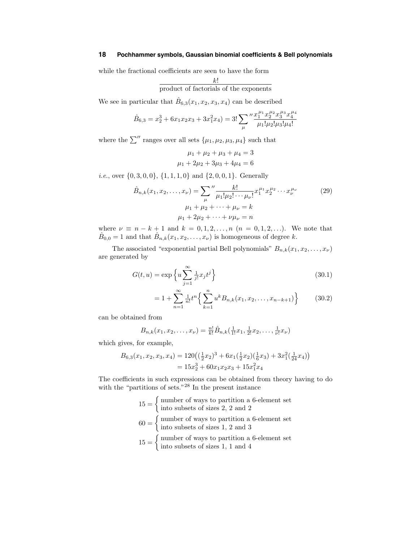while the fractional coefficients are seen to have the form

$$
\frac{k!}{\text{product of factorials of the exponents}}
$$

We see in particular that  $\hat{B}_{6,3}(x_1, x_2, x_3, x_4)$  can be described

$$
\hat{B}_{6,3}=x_2^3+6x_1x_2x_3+3x_1^2x_4)=3!\sum_{\mu}\frac{\pi_1^{\mu_1}x_2^{\mu_2}x_3^{\mu_3}x_4^{\mu_4}}{\mu_1!\mu_2!\mu_3!\mu_4!}
$$

where the  $\sum''$  ranges over all sets  $\{\mu_1, \mu_2, \mu_3, \mu_4\}$  such that

$$
\mu_1 + \mu_2 + \mu_3 + \mu_4 = 3
$$
  

$$
\mu_1 + 2\mu_2 + 3\mu_3 + 4\mu_4 = 6
$$

*i.e.*, over  $\{0, 3, 0, 0\}$ ,  $\{1, 1, 1, 0\}$  and  $\{2, 0, 0, 1\}$ . Generally

$$
\hat{B}_{n,k}(x_1, x_2, \dots, x_\nu) = \sum_{\mu}^{\prime\prime} \frac{k!}{\mu_1! \mu_2! \cdots \mu_\nu!} x_1^{\mu_1} x_2^{\mu_2} \cdots x_\nu^{\mu_\nu}
$$
\n
$$
\mu_1 + \mu_2 + \cdots + \mu_\nu = k
$$
\n
$$
\mu_1 + 2\mu_2 + \cdots + \nu_\mu = n
$$
\n(29)

where  $\nu \equiv n - k + 1$  and  $k = 0, 1, 2, ..., n$   $(n = 0, 1, 2, ...)$ . We note that  $\hat{B}_{0,0} = 1$  and that  $\hat{B}_{n,k}(x_1, x_2, \ldots, x_{\nu})$  is homogeneous of degree k.

The associated "exponential partial Bell polynomials"  $B_{n,k}(x_1, x_2, \ldots, x_{\nu})$ are generated by

$$
G(t, u) = \exp\left\{u \sum_{j=1}^{\infty} \frac{1}{j!} x_j t^j\right\}
$$
\n(30.1)

$$
= 1 + \sum_{n=1}^{\infty} \frac{1}{n!} t^n \left\{ \sum_{k=1}^n u^k B_{n,k}(x_1, x_2, \dots, x_{n-k+1}) \right\}
$$
(30.2)

can be obtained from

$$
B_{n,k}(x_1, x_2, \dots, x_{\nu}) = \frac{n!}{k!} \hat{B}_{n,k}(\frac{1}{1!}x_1, \frac{1}{2!}x_2, \dots, \frac{1}{\nu!}x_{\nu})
$$

which gives, for example,

$$
B_{6,3}(x_1, x_2, x_3, x_4) = 120\left(\left(\frac{1}{2}x_2\right)^3 + 6x_1\left(\frac{1}{2}x_2\right)\left(\frac{1}{6}x_3\right) + 3x_1^2\left(\frac{1}{24}x_4\right)\right)
$$
  
=  $15x_2^3 + 60x_1x_2x_3 + 15x_1^2x_4$ 

The coefficients in such expressions can be obtained from theory having to do with the "partitions of sets."<sup>28</sup> In the present instance

> $15 = \begin{cases} \text{number of ways to partition a 6-element set} \\ \text{inter all 2, 3, and 9} \end{cases}$ into subsets of sizes 2, 2 and 2  $60 = \begin{cases} \text{number of ways to partition a 6-element set} \\ \text{inter all 2 and 2} \end{cases}$ into subsets of sizes 1, 2 and 3  $15 = \begin{cases} \text{number of ways to partition a 6-element set} \\ \text{inter all } 1 \text{ and } 4 \end{cases}$ into subsets of sizes 1, 1 and 4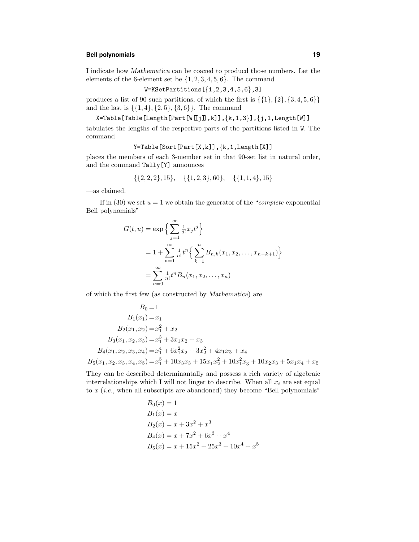# **Bell polynomials 19**

I indicate how Mathematica can be coaxed to producd those numbers. Let the elements of the 6-element set be  $\{1, 2, 3, 4, 5, 6\}$ . The command

W=KSetPartitions[{1,2,3,4,5,6},3]

produces a list of 90 such partitions, of which the first is  $\{\{1\}, \{2\}, \{3, 4, 5, 6\}\}\$ and the last is  $\{\{1,4\},\{2,5\},\{3,6\}\}\$ . The command

X=Table[Table[Length[Part[W[[j]],k]],{k,1,3}],{j,1,Length[W]]

tabulates the lengths of the respective parts of the partitions listed in W. The command

Y=Table[Sort[Part[X,k]],{k,1,Length[X]]

places the members of each 3-member set in that 90-set list in natural order, and the command Tally[Y] announces

$$
{\{2,2,2\},15\}, \quad {\{1,2,3\},60\}, \quad {\{1,1,4\},15\}
$$

—as claimed.

If in (30) we set  $u = 1$  we obtain the generator of the "*complete* exponential Bell polynomials"

$$
G(t, u) = \exp \left\{ \sum_{j=1}^{\infty} \frac{1}{j!} x_j t^j \right\}
$$
  
=  $1 + \sum_{n=1}^{\infty} \frac{1}{n!} t^n \left\{ \sum_{k=1}^n B_{n,k}(x_1, x_2, \dots, x_{n-k+1}) \right\}$   
=  $\sum_{n=0}^{\infty} \frac{1}{n!} t^n B_n(x_1, x_2, \dots, x_n)$ 

of which the first few (as constructed by Mathematica) are

$$
B_0 = 1
$$
  
\n
$$
B_1(x_1) = x_1
$$
  
\n
$$
B_2(x_1, x_2) = x_1^2 + x_2
$$
  
\n
$$
B_3(x_1, x_2, x_3) = x_1^3 + 3x_1x_2 + x_3
$$
  
\n
$$
B_4(x_1, x_2, x_3, x_4) = x_1^4 + 6x_1^2x_2 + 3x_2^2 + 4x_1x_3 + x_4
$$
  
\n
$$
B_5(x_1, x_2, x_3, x_4, x_5) = x_1^5 + 10x_3x_3 + 15x_1x_2^2 + 10x_1^2x_3 + 10x_2x_3 + 5x_1x_4 + x_5
$$

They can be described determinantally and possess a rich variety of algebraic interrelationships which I will not linger to describe. When all  $x_i$  are set equal to  $x$  (*i.e.*, when all subscripts are abandoned) they become "Bell polynomials"

$$
B_0(x) = 1
$$
  
\n
$$
B_1(x) = x
$$
  
\n
$$
B_2(x) = x + 3x^2 + x^3
$$
  
\n
$$
B_4(x) = x + 7x^2 + 6x^3 + x^4
$$
  
\n
$$
B_5(x) = x + 15x^2 + 25x^3 + 10x^4 + x^5
$$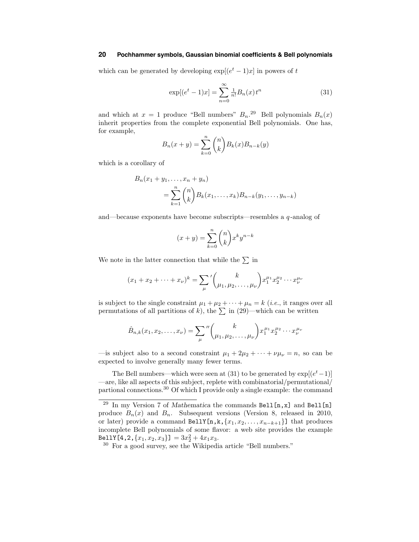which can be generated by developing  $\exp[(e^t - 1)x]$  in powers of t

$$
\exp[(e^t - 1)x] = \sum_{n=0}^{\infty} \frac{1}{n!} B_n(x) t^n
$$
\n(31)

and which at  $x = 1$  produce "Bell numbers"  $B_n$ <sup>29</sup> Bell polynomials  $B_n(x)$ inherit properties from the complete exponential Bell polynomials. One has, for example,

$$
B_n(x + y) = \sum_{k=0}^{n} {n \choose k} B_k(x) B_{n-k}(y)
$$

which is a corollary of

$$
B_n(x_1 + y_1, ..., x_n + y_n)
$$
  
=  $\sum_{k=1}^n {n \choose k} B_k(x_1, ..., x_k) B_{n-k}(y_1, ..., y_{n-k})$ 

and—because exponents have become subscripts—resembles a  $q$ -analog of

$$
(x+y) = \sum_{k=0}^{n} \binom{n}{k} x^k y^{n-k}
$$

We note in the latter connection that while the  $\Sigma$  in

$$
(x_1 + x_2 + \dots + x_{\nu})^k = \sum_{\mu}^{\prime} {k \choose \mu_1, \mu_2, \dots, \mu_{\nu}} x_1^{\mu_1} x_2^{\mu_2} \dots x_{\nu}^{\mu_{\nu}}
$$

is subject to the single constraint  $\mu_1 + \mu_2 + \cdots + \mu_n = k$  (*i.e.*, it ranges over all permutations of all partitions of k), the  $\sum$  in (29)—which can be written

$$
\hat{B}_{n,k}(x_1, x_2, \dots, x_{\nu}) = \sum_{\mu}^{\nu} \binom{k}{\mu_1, \mu_2, \dots, \mu_{\nu}} x_1^{\mu_1} x_2^{\mu_2} \cdots x_{\nu}^{\mu_{\nu}}
$$

—is subject also to a second constraint  $\mu_1 + 2\mu_2 + \cdots + \nu \mu_{\nu} = n$ , so can be expected to involve generally many fewer terms.

The Bell numbers—which were seen at (31) to be generated by  $\exp[(e^t-1)]$ —are, like all aspects of this subject, replete with combinatorial/permutational/ partional connections.<sup>30</sup> Of which I provide only a single example: the command

 $^{29}$  In my Version 7 of Mathematica the commands  $\mathtt{Bell[n,x]}$  and  $\mathtt{Bell[n]}$ produce  $B_n(x)$  and  $B_n$ . Subsequent versions (Version 8, released in 2010, or later) provide a command BellY[n, k,  $\{x_1, x_2, \ldots, x_{n-k+1}\}$ ] that produces incomplete Bell polynomials of some flavor: a web site provides the example BellY[4,2, $\{x_1, x_2, x_3\}$ ] =  $3x_2^2 + 4x_1x_3$ .

 $30$  For a good survey, see the Wikipedia article "Bell numbers."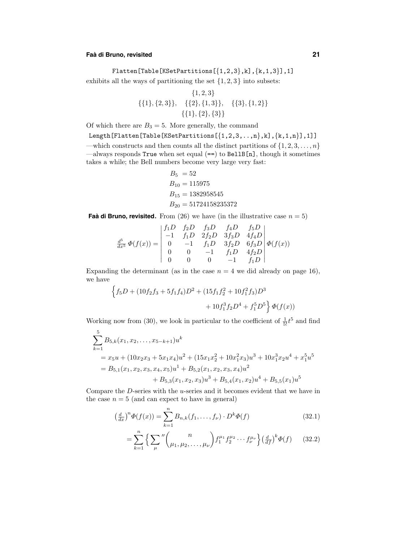# **Faa` di Bruno, revisited 21**

# Flatten[Table[KSetPartitions $\left[\{1,2,3\},\text{k}\right],\{k,1,3\}$ ],1]

exhibits all the ways of partitioning the set  $\{1, 2, 3\}$  into subsets:

$$
{1, 2, 3}
$$
  

$$
{1}, {2, 3}, {2, 4}, {2}, {1, 3}, {3}, {1, 2}
$$
  

$$
{1}, {2}, {3}
$$

Of which there are  $B_3 = 5$ . More generally, the command

Length [Flatten [Table [KSetPartitions  $[\{1,2,3,...,n\},k]$ ,  $\{k,1,n\}$ ], 1]]

—which constructs and then counts all the distinct partitions of  $\{1, 2, 3, \ldots, n\}$ —always responds True when set equal (==) to BellB[n], though it sometimes takes a while; the Bell numbers become very large very fast:

$$
B_5 = 52
$$
  
\n
$$
B_{10} = 115975
$$
  
\n
$$
B_{15} = 1382958545
$$
  
\n
$$
B_{20} = 51724158235372
$$

**Faà di Bruno, revisited.** From (26) we have (in the illustrative case  $n = 5$ )

$$
\frac{d^5}{dx^5} \Phi(f(x)) = \begin{vmatrix} f_1D & f_2D & f_3D & f_4D & f_5D \\ -1 & f_1D & 2f_2D & 3f_3D & 4f_4D \\ 0 & -1 & f_1D & 3f_2D & 6f_3D \\ 0 & 0 & -1 & f_1D & 4f_2D \\ 0 & 0 & 0 & -1 & f_1D \end{vmatrix} \Phi(f(x))
$$

Expanding the determinant (as in the case  $n = 4$  we did already on page 16), we have

$$
\left\{f_5D+(10f_2f_3+5f_1f_4)D^2+(15f_1f_2^2+10f_1^2f_3)D^3\right.\\ \left.+10f_1^3f_2D^4+f_1^5D^5\right\}\Phi(f(x))
$$

Working now from (30), we look in particular to the coefficient of  $\frac{1}{5!}t^5$  and find

$$
\sum_{k=1}^{5} B_{5,k}(x_1, x_2, \dots, x_{5-k+1}) u^k
$$
  
=  $x_5 u + (10x_2x_3 + 5x_1x_4)u^2 + (15x_1x_2^2 + 10x_1^2x_3)u^3 + 10x_1^3x_2u^4 + x_1^5u^5$   
=  $B_{5,1}(x_1, x_2, x_3, x_4, x_5)u^1 + B_{5,2}(x_1, x_2, x_3, x_4)u^2$   
+  $B_{5,3}(x_1, x_2, x_3)u^3 + B_{5,4}(x_1, x_2)u^4 + B_{5,5}(x_1)u^5$ 

Compare the  $D$ -series with the  $u$ -series and it becomes evident that we have in the case  $n = 5$  (and can expect to have in general)

$$
\left(\frac{d}{dx}\right)^{n} \Phi(f(x)) = \sum_{k=1}^{n} B_{n,k}(f_1, \dots, f_\nu) \cdot D^k \Phi(f) \tag{32.1}
$$

$$
= \sum_{k=1}^{n} \left\{ \sum_{\mu}^{\prime\prime} \binom{n}{\mu_1, \mu_2, \dots, \mu_\nu} f_1^{\mu_1} f_2^{\mu_2} \cdots f_\nu^{\mu_\nu} \right\} \left(\frac{d}{df}\right)^k \varPhi(f) \tag{32.2}
$$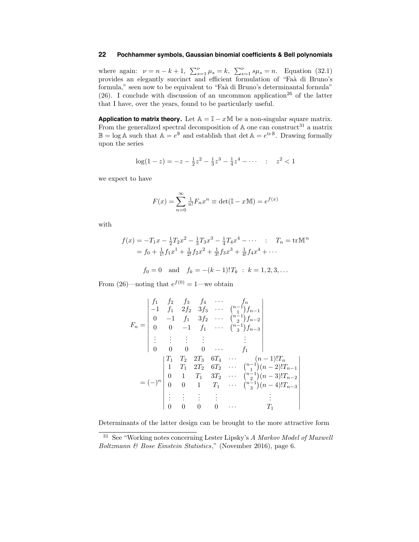where again:  $\nu = n - k + 1$ ,  $\sum_{s=1}^{\nu} \mu_s = k$ ,  $\sum_{s=1}^{\nu} s \mu_s = n$ . Equation (32.1) provides an elegantly succinct and efficient formulation of "Faà di Bruno's formula," seen now to be equivalent to "Faa` di Bruno's determinantal formula" (26). I conclude with discussion of an uncommon application<sup>26</sup> of the latter that I have, over the years, found to be particularly useful.

**Application to matrix theory.** Let  $A = I - xM$  be a non-singular square matrix. From the generalized spectral decomposition of  $A$  one can construct<sup>31</sup> a matrix  $\mathbb{B} = \log \mathbb{A}$  such that  $\mathbb{A} = e^{\mathbb{B}}$  and establish that  $\det \mathbb{A} = e^{\text{tr}\mathbb{B}}$ . Drawing formally upon the series

$$
\log(1-z) = -z - \frac{1}{2}z^2 - \frac{1}{3}z^3 - \frac{1}{4}z^4 - \dotsb \quad : \quad z^2 < 1
$$

we expect to have

$$
F(x) = \sum_{n=0}^{\infty} \frac{1}{n!} F_n x^n \equiv \det(\mathbb{I} - x\mathbb{M}) = e^{f(x)}
$$

with

$$
f(x) = -T_1 x - \frac{1}{2} T_2 x^2 - \frac{1}{3} T_3 x^3 - \frac{1}{4} T_4 x^4 - \cdots \qquad T_n = \text{tr} \mathbb{M}^n
$$
  
=  $f_0 + \frac{1}{1!} f_1 x^1 + \frac{1}{2!} f_2 x^2 + \frac{1}{3!} f_3 x^3 + \frac{1}{4!} f_4 x^4 + \cdots$ 

$$
f_0 = 0
$$
 and  $f_k = -(k-1)!T_k$ :  $k = 1, 2, 3, ...$ 

From (26)—noting that  $e^{f(0)} = 1$ —we obtain

$$
F_n = \begin{vmatrix} f_1 & f_2 & f_3 & f_4 & \cdots & f_n \\ -1 & f_1 & 2f_2 & 3f_3 & \cdots & {n-1 \choose 2} f_{n-1} \\ 0 & -1 & f_1 & 3f_2 & \cdots & {n-1 \choose 2} f_{n-2} \\ 0 & 0 & -1 & f_1 & \cdots & {n-1 \choose 3} f_{n-3} \\ \vdots & \vdots & \vdots & \vdots & & \vdots \\ 0 & 0 & 0 & 0 & \cdots & f_1 \end{vmatrix}
$$

$$
T_1 \quad T_2 \quad 2T_3 \quad 6T_4 \quad \cdots \quad (n-1)! T_n
$$

$$
= (-)^n \begin{vmatrix} T_1 & T_2 & 2T_3 & 6T_4 & \cdots & (n-1)! T_n \\ 1 & T_1 & 2T_2 & 6T_2 & \cdots & {n-1 \choose 2} (n-2)! T_{n-1} \\ 0 & 1 & T_1 & 3T_2 & \cdots & {n-1 \choose 2} (n-3)! T_{n-2} \\ 0 & 0 & 1 & T_1 & \cdots & {n-1 \choose 3} (n-4)! T_{n-3} \\ \vdots & \vdots & \vdots & \vdots & & \vdots \\ 0 & 0 & 0 & 0 & \cdots & T_1 \end{vmatrix}
$$

 $\overline{\phantom{a}}$ , , , , , , , , , , , ,

Determinants of the latter design can be brought to the more attractive form

<sup>31</sup> See "Working notes concerning Lester Lipsky's A Markov Model of Maxwell Boltzmann & Bose Einstein Statistics," (November 2016), page 6.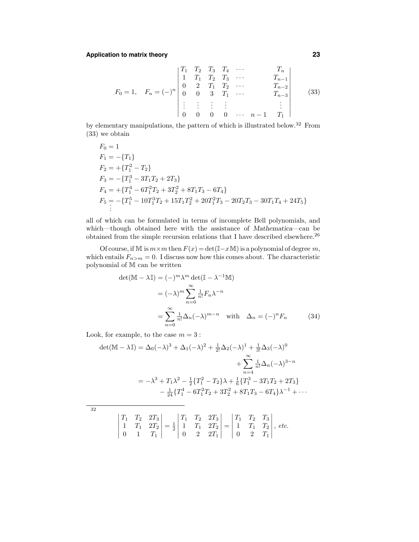# **Application to matrix theory 23**

$$
F_0 = 1, \quad F_n = (-)^n \begin{vmatrix} T_1 & T_2 & T_3 & T_4 & \cdots & T_n \\ 1 & T_1 & T_2 & T_3 & \cdots & T_{n-1} \\ 0 & 2 & T_1 & T_2 & \cdots & T_{n-2} \\ 0 & 0 & 3 & T_1 & \cdots & T_{n-3} \\ \vdots & \vdots & \vdots & \vdots & & \vdots \\ 0 & 0 & 0 & 0 & \cdots & n-1 & T_1 \end{vmatrix}
$$
 (33)

by elementary manipulations, the pattern of which is illustrated below.<sup>32</sup> From (33) we obtain

$$
F_0 = 1
$$
  
\n
$$
F_1 = -\{T_1\}
$$
  
\n
$$
F_2 = +\{T_1^2 - T_2\}
$$
  
\n
$$
F_3 = -\{T_1^3 - 3T_1T_2 + 2T_3\}
$$
  
\n
$$
F_4 = +\{T_1^4 - 6T_1^2T_2 + 3T_2^2 + 8T_1T_3 - 6T_4\}
$$
  
\n
$$
F_5 = -\{T_1^5 - 10T_1^3T_2 + 15T_1T_2^2 + 20T_1^2T_3 - 20T_2T_3 - 30T_1T_4 + 24T_5\}
$$
  
\n
$$
\vdots
$$

all of which can be formulated in terms of incomplete Bell polynomials, and which—though obtained here with the assistance of Mathematica—can be obtained from the simple recursion relations that I have described elsewhere. $^{26}$ 

Of course, if M is  $m \times m$  then  $F(x) = \det(\mathbb{I} - x \mathbb{M})$  is a polynomial of degree  $m$ , which entails  $F_{n>m} = 0$ . I discuss now how this comes about. The characteristic polynomial of M can be written

$$
\det(\mathbb{M} - \lambda \mathbb{I}) = (-)^m \lambda^m \det(\mathbb{I} - \lambda^{-1} \mathbb{M})
$$
  
\n
$$
= (-\lambda)^m \sum_{n=0}^{\infty} \frac{1}{n!} F_n \lambda^{-n}
$$
  
\n
$$
= \sum_{n=0}^{\infty} \frac{1}{n!} \Delta_n (-\lambda)^{m-n} \quad \text{with} \quad \Delta_n = (-)^n F_n \tag{34}
$$

Look, for example, to the case  $m = 3$ :

$$
\det(\mathbb{M} - \lambda \mathbb{I}) = \Delta_0(-\lambda)^3 + \Delta_1(-\lambda)^2 + \frac{1}{2!}\Delta_2(-\lambda)^1 + \frac{1}{3!}\Delta_3(-\lambda)^0
$$

$$
+ \sum_{n=4}^{\infty} \frac{1}{n!}\Delta_n(-\lambda)^{3-n}
$$

$$
= -\lambda^3 + T_1\lambda^2 - \frac{1}{2}\left\{T_1^2 - T_2\right\}\lambda + \frac{1}{6}\left\{T_1^3 - 3T_1T_2 + 2T_3\right\}
$$

$$
- \frac{1}{24}\left\{T_1^4 - 6T_1^2T_2 + 3T_2^2 + 8T_1T_3 - 6T_4\right\}\lambda^{-1} + \cdots
$$

32

$$
\begin{vmatrix} T_1 & T_2 & 2T_3 \ 1 & T_1 & 2T_2 \ 0 & 1 & T_1 \end{vmatrix} = \frac{1}{2} \begin{vmatrix} T_1 & T_2 & 2T_3 \ 1 & T_1 & 2T_2 \ 0 & 2 & 2T_1 \end{vmatrix} = \begin{vmatrix} T_1 & T_2 & T_3 \ 1 & T_1 & T_2 \ 0 & 2 & T_1 \end{vmatrix}, \text{ etc.}
$$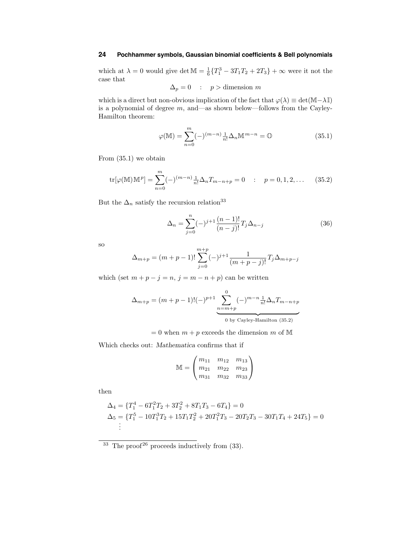which at  $\lambda = 0$  would give det  $\mathbb{M} = \frac{1}{6} \{T_1^3 - 3T_1T_2 + 2T_3\} + \infty$  were it not the case that

$$
\Delta_p = 0 \quad : \quad p > \text{dimension } m
$$

which is a direct but non-obvious implication of the fact that  $\varphi(\lambda) \equiv det(M-\lambda \mathbb{I})$ is a polynomial of degree  $m$ , and—as shown below—follows from the Cayley-Hamilton theorem:

$$
\varphi(\mathbb{M}) = \sum_{n=0}^{m} (-)^{(m-n)} \frac{1}{n!} \Delta_n \mathbb{M}^{m-n} = \mathbb{O}
$$
 (35.1)

From (35.1) we obtain

$$
\text{tr}[\varphi(\mathbb{M})\mathbb{M}^p] = \sum_{n=0}^m (-)^{(m-n)} \frac{1}{n!} \Delta_n T_{m-n+p} = 0 \qquad ; \qquad p = 0, 1, 2, \dots \qquad (35.2)
$$

But the  $\Delta_n$  satisfy the recursion relation<sup>33</sup>

$$
\Delta_n = \sum_{j=0}^n (-)^{j+1} \frac{(n-1)!}{(n-j)!} T_j \Delta_{n-j}
$$
\n(36)

so

$$
\Delta_{m+p} = (m+p-1)! \sum_{j=0}^{m+p} (-)^{j+1} \frac{1}{(m+p-j)!} T_j \Delta_{m+p-j}
$$

which (set  $m + p - j = n$ ,  $j = m - n + p$ ) can be written

$$
\Delta_{m+p} = (m+p-1)!(-)^{p+1} \underbrace{\sum_{n=m+p}^{0} (-)^{m-n} \frac{1}{n!} \Delta_n T_{m-n+p}}_{0 \text{ by Cayley-Hamilton (35.2)}}
$$

 $= 0$  when  $m + p$  exceeds the dimension m of M

Which checks out: Mathematica confirms that if

$$
\mathbb{M} = \begin{pmatrix} m_{11} & m_{12} & m_{13} \\ m_{21} & m_{22} & m_{23} \\ m_{31} & m_{32} & m_{33} \end{pmatrix}
$$

then

$$
\Delta_4 = \{T_1^4 - 6T_1^2T_2 + 3T_2^2 + 8T_1T_3 - 6T_4\} = 0
$$
  
\n
$$
\Delta_5 = \{T_1^5 - 10T_1^3T_2 + 15T_1T_2^2 + 20T_1^2T_3 - 20T_2T_3 - 30T_1T_4 + 24T_5\} = 0
$$
  
\n:  
\n:

 $33$  The proof<sup>26</sup> proceeds inductively from (33).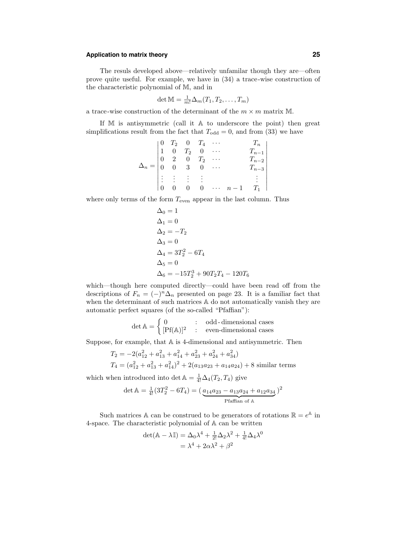# **Application to matrix theory 25**

The resuls developed above—relatively unfamilar though they are—often prove quite useful. For example, we have in (34) a trace-wise construction of the characteristic polynomial of M, and in

$$
\det \mathbb{M} = \frac{1}{m!} \Delta_m(T_1, T_2, \dots, T_m)
$$

a trace-wise construction of the determinant of the  $m \times m$  matrix M.

If M is antisymmetric (call it A to underscore the point) then great simplifications result from the fact that  $T_{\text{odd}} = 0$ , and from (33) we have

$$
\Delta_n = \begin{vmatrix}\n0 & T_2 & 0 & T_4 & \cdots & T_n \\
1 & 0 & T_2 & 0 & \cdots & T_{n-1} \\
0 & 2 & 0 & T_2 & \cdots & T_{n-2} \\
0 & 0 & 3 & 0 & \cdots & T_{n-3} \\
\vdots & \vdots & \vdots & \vdots & & \vdots \\
0 & 0 & 0 & 0 & \cdots & n-1 & T_1\n\end{vmatrix}
$$

where only terms of the form  $T_{\text{even}}$  appear in the last column. Thus

$$
\Delta_0 = 1 \n\Delta_1 = 0 \n\Delta_2 = -T_2 \n\Delta_3 = 0 \n\Delta_4 = 3T_2^2 - 6T_4 \n\Delta_5 = 0 \n\Delta_6 = -15T_2^3 + 90T_2T_4 - 120T_6
$$

which—though here computed directly—could have been read off from the descriptions of  $F_n = (-)^n \Delta_n$  presented on page 23. It is a familiar fact that when the determinant of such matrices A do not automatically vanish they are automatic perfect squares (of the so-called "Pfaffian"):

$$
\det \mathbb{A} = \begin{cases} 0 & \text{:} \quad \text{odd-dimensional cases} \\ [\text{Pf(A)}]^2 & \text{:} \quad \text{even-dimensional cases} \end{cases}
$$

Suppose, for example, that A is 4-dimensional and antisymmetric. Then

$$
T_2 = -2(a_{12}^2 + a_{13}^2 + a_{14}^2 + a_{23}^2 + a_{24}^2 + a_{34}^2)
$$
  
\n
$$
T_4 = (a_{12}^2 + a_{13}^2 + a_{14}^2)^2 + 2(a_{13}a_{23} + a_{14}a_{24}) + 8 \text{ similar terms}
$$

which when introduced into det  $\mathbb{A} = \frac{1}{4!} \Delta_4(T_2, T_4)$  give

$$
\det \mathbb{A} = \frac{1}{4!} (3T_2^2 - 6T_4) = \left(\frac{a_{14}a_{23} - a_{13}a_{24} + a_{12}a_{34}}{\text{Pfaffian of A}}\right)^2
$$

Such matrices A can be construed to be generators of rotations  $\mathbb{R} = e^{A}$  in 4-space. The characteristic polynomial of A can be written

$$
det(\mathbb{A} - \lambda \mathbb{I}) = \Delta_0 \lambda^4 + \frac{1}{2!} \Delta_2 \lambda^2 + \frac{1}{4!} \Delta_4 \lambda^0
$$

$$
= \lambda^4 + 2\alpha \lambda^2 + \beta^2
$$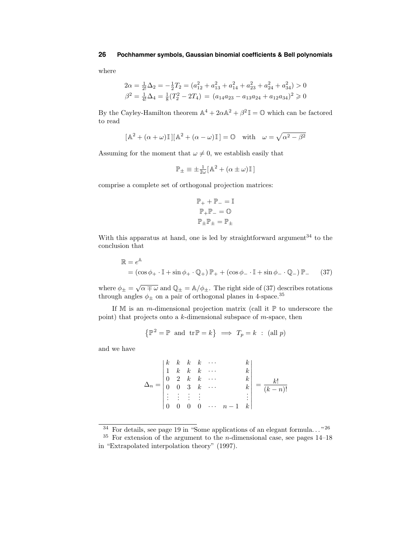where

$$
2\alpha = \frac{1}{2!} \Delta_2 = -\frac{1}{2} T_2 = (a_{12}^2 + a_{13}^2 + a_{14}^2 + a_{23}^2 + a_{24}^2 + a_{34}^2) > 0
$$
  

$$
\beta^2 = \frac{1}{4!} \Delta_4 = \frac{1}{8} (T_2^2 - 2T_4) = (a_{14} a_{23} - a_{13} a_{24} + a_{12} a_{34})^2 \ge 0
$$

By the Cayley-Hamilton theorem  $\mathbb{A}^4 + 2\alpha\mathbb{A}^2 + \beta^2 \mathbb{I} = \mathbb{O}$  which can be factored to read

$$
[\mathbb{A}^2 + (\alpha + \omega)\mathbb{I}][\mathbb{A}^2 + (\alpha - \omega)\mathbb{I}] = \mathbb{O} \text{ with } \omega = \sqrt{\alpha^2 - \beta^2}
$$

Assuming for the moment that  $\omega \neq 0$ , we establish easily that

$$
\mathbb{P}_{\pm} \equiv \pm \frac{1}{2\omega} [\mathbb{A}^2 + (\alpha \pm \omega) \mathbb{I}]
$$

comprise a complete set of orthogonal projection matrices:

$$
\mathbb{P}_{+} + \mathbb{P}_{-} = \mathbb{I}
$$

$$
\mathbb{P}_{+} \mathbb{P}_{-} = \mathbb{O}
$$

$$
\mathbb{P}_{\pm} \mathbb{P}_{\pm} = \mathbb{P}_{\pm}
$$

With this apparatus at hand, one is led by straightforward argument $34$  to the conclusion that

$$
\mathbb{R} = e^{\mathbb{A}}
$$
  
=  $(\cos \phi_+ \cdot \mathbb{I} + \sin \phi_+ \cdot \mathbb{Q}_+) \mathbb{P}_+ + (\cos \phi_- \cdot \mathbb{I} + \sin \phi_- \cdot \mathbb{Q}_-) \mathbb{P}_-$  (37)

where  $\phi_{\pm} = \sqrt{\alpha \mp \omega}$  and  $\mathbb{Q}_{\pm} = \mathbb{A}/\phi_{\pm}$ . The right side of (37) describes rotations through angles  $\phi_{\pm}$  on a pair of orthogonal planes in 4-space.<sup>35</sup>

If M is an *m*-dimensional projection matrix (call it  $\mathbb P$  to underscore the point) that projects onto a  $k$ -dimensional subspace of  $m$ -space, then

$$
\left\{ \mathbb{P}^2 = \mathbb{P} \text{ and } \operatorname{tr} \mathbb{P} = k \right\} \implies T_p = k \; : \; (\text{all } p)
$$

and we have

$$
\Delta_n = \begin{vmatrix} k & k & k & k & \cdots & k \\ 1 & k & k & k & \cdots & k \\ 0 & 2 & k & k & \cdots & k \\ 0 & 0 & 3 & k & \cdots & k \\ \vdots & \vdots & \vdots & \vdots & & \vdots \\ 0 & 0 & 0 & 0 & \cdots & n-1 & k \end{vmatrix} = \frac{k!}{(k-n)!}
$$

 $34$  For details, see page 19 in "Some applications of an elegant formula..."<sup>26</sup>

<sup>&</sup>lt;sup>35</sup> For extension of the argument to the *n*-dimensional case, see pages  $14-18$ in "Extrapolated interpolation theory" (1997).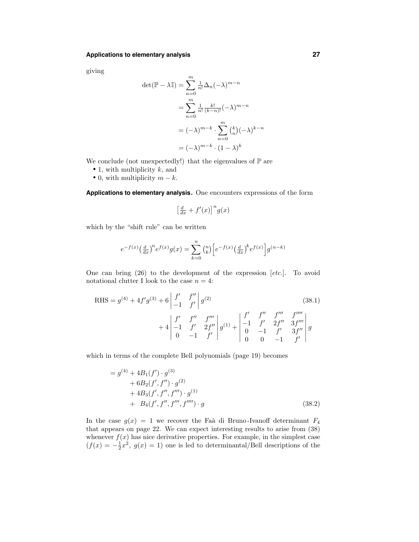giving

$$
\det(\mathbb{P} - \lambda \mathbb{I}) = \sum_{n=0}^{m} \frac{1}{n!} \Delta_n (-\lambda)^{m-n}
$$

$$
= \sum_{n=0}^{m} \frac{1}{n!} \frac{k!}{(k-n)!} (-\lambda)^{m-n}
$$

$$
= (-\lambda)^{m-k} \cdot \sum_{n=0}^{m} {k \choose n} (-\lambda)^{k-n}
$$

$$
= (-\lambda)^{m-k} \cdot (1-\lambda)^k
$$

We conclude (not unexpectedly!) that the eigenvalues of  $\mathbb P$  are

- 1, with multiplicity  $k$ , and
- 0, with multiplicity  $m k$ .

**Applications to elementary analysis.** One encounters expressions of the form

$$
\left[\frac{d}{dx} + f'(x)\right]^n g(x)
$$

which by the "shift rule" can be written

$$
e^{-f(x)}\left(\frac{d}{dx}\right)^n e^{f(x)}g(x) = \sum_{k=0}^n {n \choose k} \left[ e^{-f(x)} \left(\frac{d}{dx}\right)^k e^{f(x)} \right] g^{(n-k)}
$$

One can bring  $(26)$  to the development of the expression  $[etc.]$ . To avoid notational clutter I look to the case  $n = 4$ :

RHS = 
$$
g^{(4)} + 4f'g^{(3)} + 6\begin{vmatrix} f' & f'' \\ -1 & f' \end{vmatrix} g^{(2)}
$$
 (38.1)  
+  $4 \begin{vmatrix} f' & f'' & f''' \\ -1 & f' & 2f'' \\ 0 & -1 & f' \end{vmatrix} g^{(1)} + \begin{vmatrix} f' & f'' & f''' & f'''' \\ -1 & f' & 2f'' & 3f''' \\ 0 & -1 & f' & 3f'' \\ 0 & 0 & -1 & f' \end{vmatrix} g$ 

which in terms of the complete Bell polynomials (page 19) becomes

$$
= g^{(4)} + 4B_1(f') \cdot g^{(3)} + 6B_2(f', f'') \cdot g^{(2)} + 4B_3(f', f'', f''') \cdot g^{(1)} + B_4(f', f'', f''', f'''') \cdot g
$$
(38.2)

In the case  $g(x) = 1$  we recover the Faà di Bruno-Ivanoff determinant  $F_4$ that appears on page 22. We can expect interesting results to arise from (38) whenever  $f(x)$  has nice derivative properties. For example, in the simplest case  $(f(x) = -\frac{1}{2}x^2, g(x) = 1)$  one is led to determinantal/Bell descriptions of the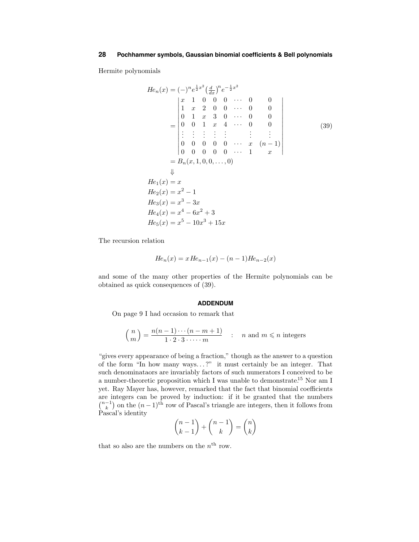Hermite polynomials

$$
He_n(x) = (-)^n e^{\frac{1}{2}x^2} \left(\frac{d}{dx}\right)^n e^{-\frac{1}{2}x^2}
$$
  
\n
$$
\begin{vmatrix}\nx & 1 & 0 & 0 & 0 & \cdots & 0 & 0 \\
1 & x & 2 & 0 & 0 & \cdots & 0 & 0 \\
0 & 1 & x & 3 & 0 & \cdots & 0 & 0 \\
0 & 0 & 1 & x & 4 & \cdots & 0 & 0 \\
\vdots & \vdots & \vdots & \vdots & \vdots & \vdots & \vdots & \vdots \\
0 & 0 & 0 & 0 & 0 & \cdots & x & (n-1) \\
0 & 0 & 0 & 0 & 0 & \cdots & 1 & x\n\end{vmatrix}
$$
  
\n
$$
= B_n(x, 1, 0, 0, \ldots, 0)
$$
  
\n
$$
\downarrow
$$
  
\n
$$
He_1(x) = x
$$
  
\n
$$
He_2(x) = x^2 - 1
$$
  
\n
$$
He_3(x) = x^3 - 3x
$$
  
\n
$$
He_4(x) = x^4 - 6x^2 + 3
$$
  
\n
$$
He_5(x) = x^5 - 10x^3 + 15x
$$
  
\n(39)

The recursion relation

$$
He_n(x) = xHe_{n-1}(x) - (n-1)He_{n-2}(x)
$$

and some of the many other properties of the Hermite polynomials can be obtained as quick consequences of (39).

#### **ADDENDUM**

On page 9 I had occasion to remark that

$$
\binom{n}{m} = \frac{n(n-1)\cdots(n-m+1)}{1\cdot 2\cdot 3\cdot \cdots \cdot m} \quad : \quad n \text{ and } m \leq n \text{ integers}
$$

"gives every appearance of being a fraction," though as the answer to a question of the form "In how many ways...?" it must certainly be an integer. That such denominataors are invariably factors of such numerators I conceived to be a number-theoretic proposition which I was unable to demonstrate.<sup>15</sup> Nor am I yet. Ray Mayer has, however, remarked that the fact that binomial coefficients are integers can be proved by induction: if it be granted that the numbers  $\binom{n-1}{k}$  on the  $(n-1)$ <sup>th</sup> row of Pascal's triangle are integers, then it follows from Pascal's identity  $\sim$ n − 1  $+1$ 

$$
\binom{n-1}{k-1} + \binom{n-1}{k} = \binom{n}{k}
$$

that so also are the numbers on the  $n<sup>th</sup>$  row.